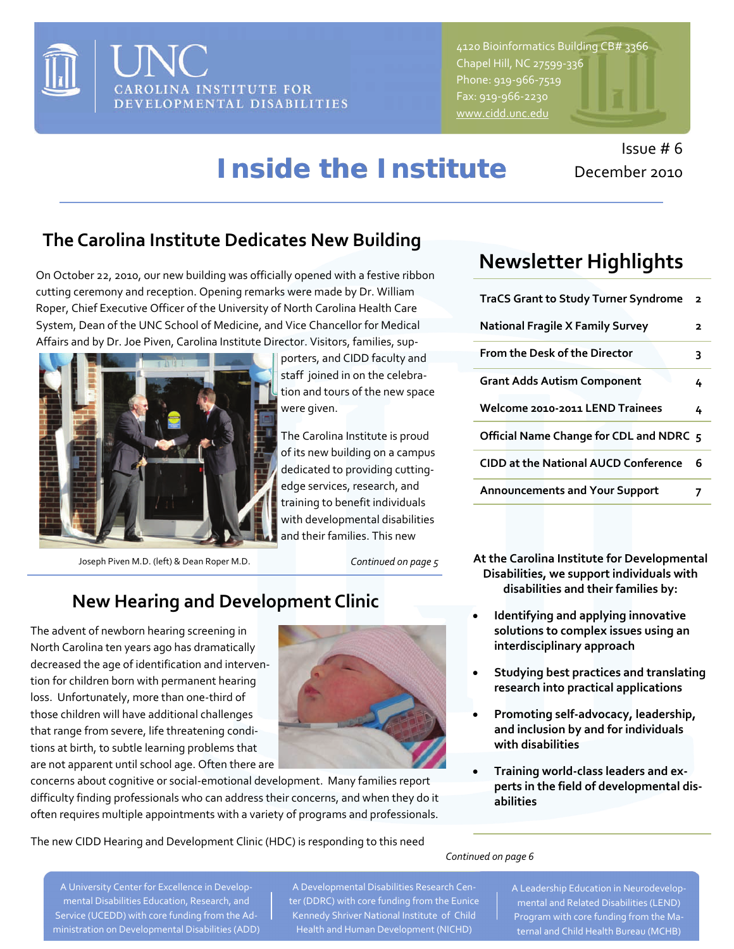

4120 Bioinformatics Building CB# 3366 Chapel Hill, NC 27599‐336 Phone: 919‐966‐7519 Fax: 919‐966‐2230

*Inside the Institute*

#### **The Carolina Institute Dedicates New Building**

On October 22, 2010, our new building was officially opened with a festive ribbon cutting ceremony and reception. Opening remarks were made by Dr. William Roper, Chief Executive Officer of the University of North Carolina Health Care System, Dean of the UNC School of Medicine, and Vice Chancellor for Medical Affairs and by Dr. Joe Piven, Carolina Institute Director. Visitors, families, sup‐



Joseph Piven M.D. (left) & Dean Roper M.D.

porters, and CIDD faculty and staff joined in on the celebra‐ tion and tours of the new space were given.

The Carolina Institute is proud of its new building on a campus dedicated to providing cutting‐ edge services, research, and training to benefit individuals with developmental disabilities and their families. This new

*Continued on page 5*

#### **New Hearing and Development Clinic**

The advent of newborn hearing screening in North Carolina ten years ago has dramatically decreased the age of identification and interven‐ tion for children born with permanent hearing loss. Unfortunately, more than one‐third of those children will have additional challenges that range from severe, life threatening condi‐ tions at birth, to subtle learning problems that are not apparent until school age. Often there are



concerns about cognitive or social‐emotional development. Many families report difficulty finding professionals who can address their concerns, and when they do it often requires multiple appointments with a variety of programs and professionals.

# December 2010

Issue # 6

## **Newsletter Highlights**

| <b>TraCS Grant to Study Turner Syndrome</b> | $\overline{\mathbf{2}}$ |
|---------------------------------------------|-------------------------|
| <b>National Fragile X Family Survey</b>     | 2                       |
| From the Desk of the Director               | 3                       |
| <b>Grant Adds Autism Component</b>          | 4                       |
| Welcome 2010-2011 LEND Trainees             | 4                       |
| Official Name Change for CDL and NDRC 5     |                         |
| <b>CIDD at the National AUCD Conference</b> | 6                       |
| <b>Announcements and Your Support</b>       |                         |

- **At the Carolina Institute for Developmental Disabilities, we support individuals with disabilities and their families by:**
- **Identifying and applying innovative solutions to complex issues using an interdisciplinary approach**
- **Studying best practices and translating research into practical applications**
- **Promoting self‐advocacy, leadership, and inclusion by and for individuals with disabilities**
- **Training world‐class leaders and ex‐ perts in the field of developmental dis‐ abilities**

The new CIDD Hearing and Development Clinic (HDC) is responding to this need

*Continued on page 6*

A University Center for Excellence in Develop‐ mental Disabilities Education, Research, and Service (UCEDD) with core funding from the Ad‐ ministration on Developmental Disabilities (ADD)

A Developmental Disabilities Research Cen‐ ter (DDRC) with core funding from the Eunice Kennedy Shriver National Institute of Child Health and Human Development (NICHD)

A Leadership Education in Neurodevelop‐ mental and Related Disabilities (LEND) Program with core funding from the Ma‐ ternal and Child Health Bureau (MCHB)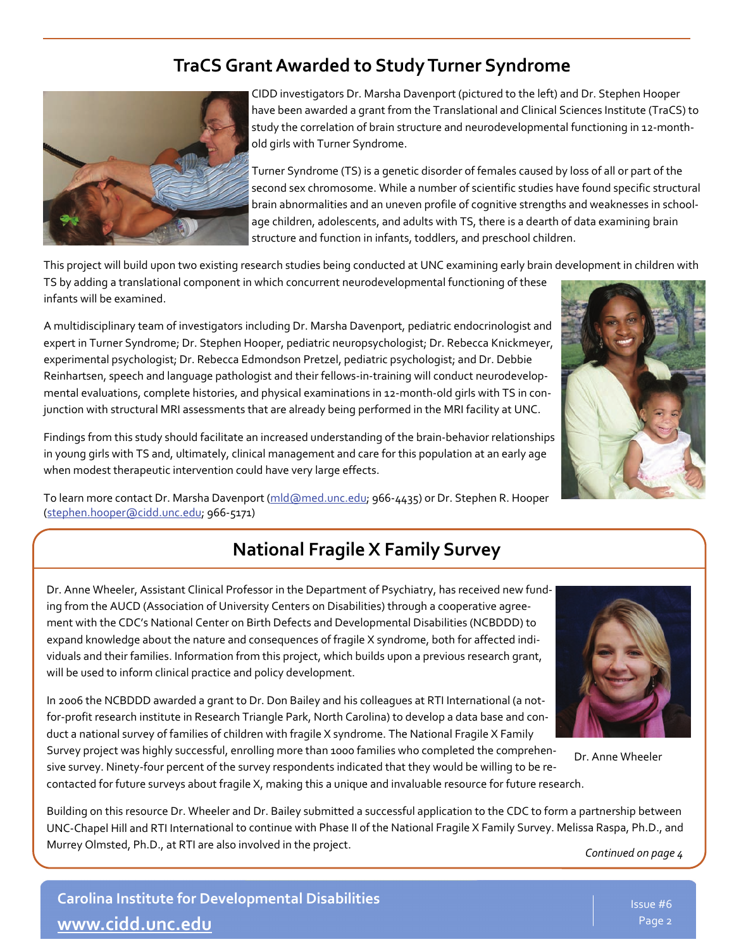#### **TraCS GrantAwarded to StudyTurner Syndrome**



CIDD investigators Dr. Marsha Davenport (pictured to the left) and Dr. Stephen Hooper have been awarded a grant from the Translational and Clinical Sciences Institute (TraCS) to study the correlation of brain structure and neurodevelopmental functioning in 12‐month‐ old girls with Turner Syndrome.

Turner Syndrome (TS) is a genetic disorder of females caused by loss of all or part of the second sex chromosome. While a number of scientific studies have found specific structural brain abnormalities and an uneven profile of cognitive strengths and weaknesses in school‐ age children, adolescents, and adults with TS, there is a dearth of data examining brain structure and function in infants, toddlers, and preschool children.

This project will build upon two existing research studies being conducted at UNC examining early brain development in children with

TS by adding a translational component in which concurrent neurodevelopmental functioning of these infants will be examined.

A multidisciplinary team of investigators including Dr. Marsha Davenport, pediatric endocrinologist and expert in Turner Syndrome; Dr. Stephen Hooper, pediatric neuropsychologist; Dr. Rebecca Knickmeyer, experimental psychologist; Dr. Rebecca Edmondson Pretzel, pediatric psychologist; and Dr. Debbie Reinhartsen, speech and language pathologist and their fellows‐in‐training will conduct neurodevelop‐ mental evaluations, complete histories, and physical examinations in 12-month-old girls with TS in conjunction with structural MRI assessments that are already being performed in the MRI facility at UNC.

Findings from this study should facilitate an increased understanding of the brain‐behavior relationships in young girls with TS and, ultimately, clinical management and care for this population at an early age when modest therapeutic intervention could have very large effects.



To learn more contact Dr. Marsha Davenport [\(mld@med.unc.edu](mailto:mld@med.unc.edu); 966-4435) or Dr. Stephen R. Hooper [\(stephen.hooper@cidd.unc.edu](mailto:stephen.hooper@cidd.unc.edu); 966‐5171)

#### **National Fragile X Family Survey**

Dr. Anne Wheeler, Assistant Clinical Professor in the Department of Psychiatry, has received new fund‐ ing from the AUCD (Association of University Centers on Disabilities) through a cooperative agree‐ ment with the CDC's National Center on Birth Defects and Developmental Disabilities (NCBDDD) to expand knowledge about the nature and consequences of fragile X syndrome, both for affected indi‐ viduals and their families. Information from this project, which builds upon a previous research grant, will be used to inform clinical practice and policy development.

In 2006 the NCBDDD awarded a grant to Dr. Don Bailey and his colleagues at RTI International (a not‐ for-profit research institute in Research Triangle Park, North Carolina) to develop a data base and conduct a national survey of families of children with fragile X syndrome. The National Fragile X Family

Survey project was highly successful, enrolling more than 1000 families who completed the comprehen‐ sive survey. Ninety-four percent of the survey respondents indicated that they would be willing to be recontacted for future surveys about fragile X, making this a unique and invaluable resource for future research. Dr. Anne Wheeler

Building on this resource Dr. Wheeler and Dr. Bailey submitted a successful application to the CDC to form a partnership between UNC‐Chapel Hill and RTI International to continue with Phase II of the National Fragile X Family Survey. Melissa Raspa, Ph.D., and Murrey Olmsted, Ph.D., at RTI are also involved in the project.

*Continued on page 4* 

**Carolina Institute for Developmental Disabilities [www.cidd.unc.edu](http://www.cidd.unc.edu/)**

lssue #6 Page 2 Page 2

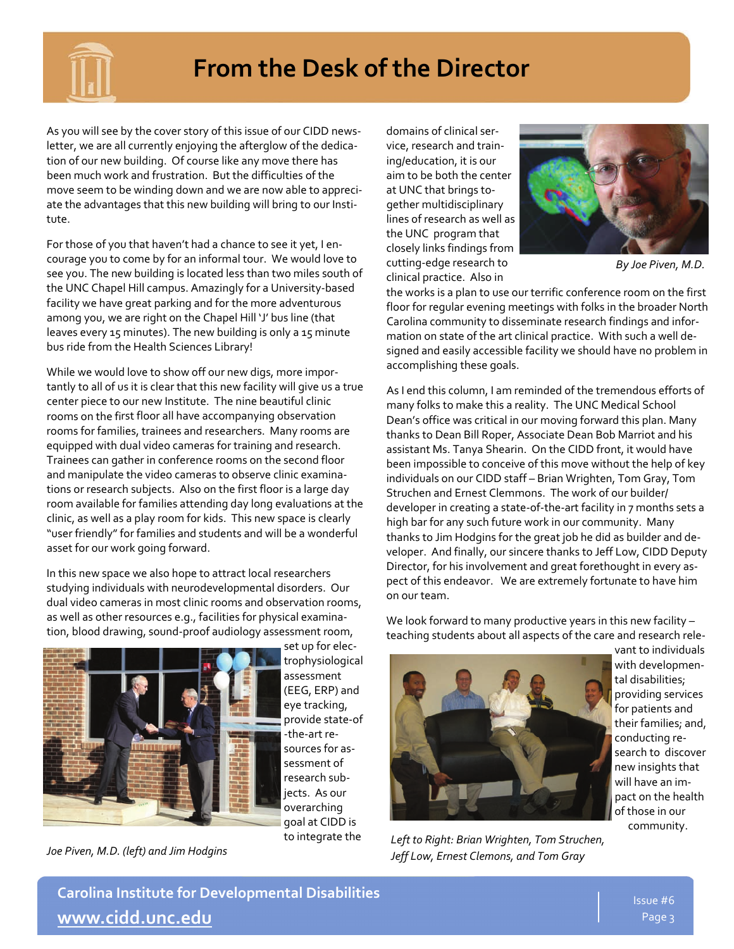

## **From the Desk of the Director**

As you will see by the cover story of this issue of our CIDD news‐ letter, we are all currently enjoying the afterglow of the dedication of our new building. Of course like any move there has been much work and frustration. But the difficulties of the move seem to be winding down and we are now able to appreci‐ ate the advantages that this new building will bring to our Insti‐ tute.

For those of you that haven't had a chance to see it yet, I en‐ courage you to come by for an informal tour. We would love to see you. The new building is located less than two miles south of the UNC Chapel Hill campus. Amazingly for a University‐based facility we have great parking and for the more adventurous among you, we are right on the Chapel Hill 'J' bus line (that leaves every 15 minutes). The new building is only a 15 minute bus ride from the Health Sciences Library!

While we would love to show off our new digs, more impor‐ tantly to all of us it is clear that this new facility will give us a true center piece to our new Institute. The nine beautiful clinic rooms on the first floor all have accompanying observation rooms for families, trainees and researchers. Many rooms are equipped with dual video cameras for training and research. Trainees can gather in conference rooms on the second floor and manipulate the video cameras to observe clinic examina‐ tions or research subjects. Also on the first floor is a large day room available for families attending day long evaluations at the clinic, as well as a play room for kids. This new space is clearly "user friendly" for families and students and will be a wonderful asset for our work going forward.

In this new space we also hope to attract local researchers studying individuals with neurodevelopmental disorders. Our dual video cameras in most clinic rooms and observation rooms, as well as other resources e.g., facilities for physical examina‐ tion, blood drawing, sound‐proof audiology assessment room,



set up for elec‐ trophysiological assessment (EEG, ERP) and eye tracking, provide state‐of ‐the‐art re‐ sources for as‐ sessment of research sub‐ jects. As our overarching goal at CIDD is to integrate the

*Joe Piven, M.D. (left) and Jim Hodgins*

domains of clinical ser‐ vice, research and train‐ ing/education, it is our aim to be both the center at UNC that brings to‐ gether multidisciplinary lines of research as well as the UNC program that closely links findings from cutting‐edge research to clinical practice. Also in



*By Joe Piven, M.D.* 

the works is a plan to use our terrific conference room on the first floor for regular evening meetings with folks in the broader North Carolina community to disseminate research findings and infor‐ mation on state of the art clinical practice. With such a well de‐ signed and easily accessible facility we should have no problem in accomplishing these goals.

As I end this column, I am reminded of the tremendous efforts of many folks to make this a reality. The UNC Medical School Dean's office was critical in our moving forward this plan. Many thanks to Dean Bill Roper, Associate Dean Bob Marriot and his assistant Ms. Tanya Shearin. On the CIDD front, it would have been impossible to conceive of this move without the help of key individuals on our CIDD staff – Brian Wrighten, Tom Gray, Tom Struchen and Ernest Clemmons. The work of our builder/ developer in creating a state‐of‐the‐art facility in 7 months sets a high bar for any such future work in our community. Many thanks to Jim Hodgins for the great job he did as builder and de‐ veloper. And finally, our sincere thanks to Jeff Low, CIDD Deputy Director, for his involvement and great forethought in every aspect of this endeavor. We are extremely fortunate to have him on our team.

We look forward to many productive years in this new facility teaching students about all aspects of the care and research rele‐



*Left to Right: Brian Wrighten, Tom Struchen, Jeff Low, Ernest Clemons, and Tom Gray*

vant to individuals with developmen‐ tal disabilities; providing services for patients and their families; and, conducting re‐ search to discover new insights that will have an im‐ pact on the health of those in our community.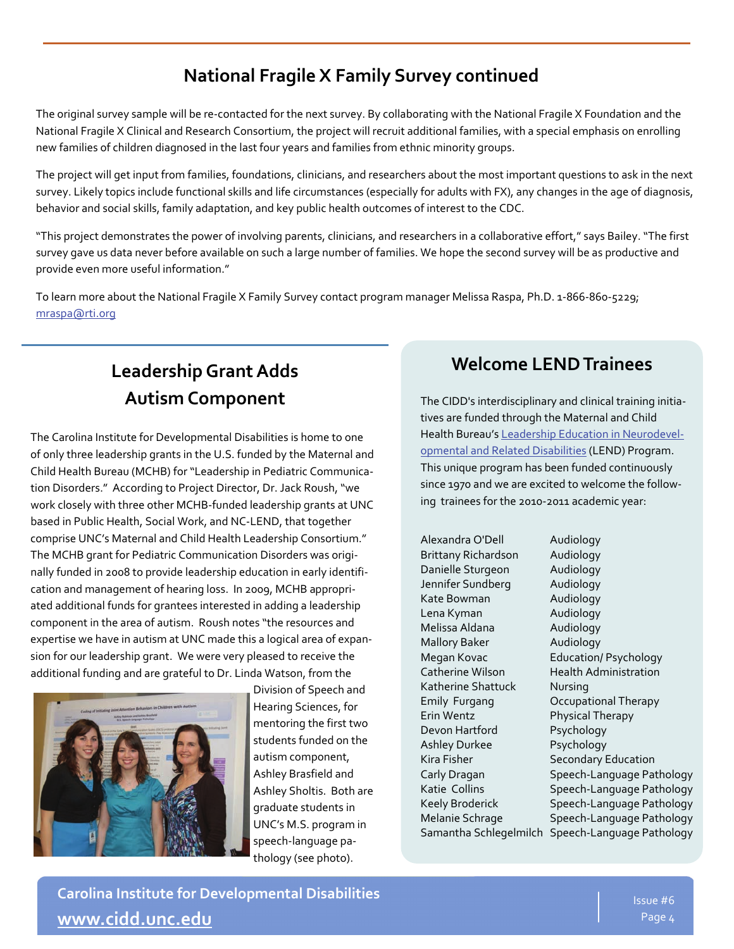#### **National Fragile X Family Survey continued**

The original survey sample will be re‐contacted for the next survey. By collaborating with the National Fragile X Foundation and the National Fragile X Clinical and Research Consortium, the project will recruit additional families, with a special emphasis on enrolling new families of children diagnosed in the last four years and families from ethnic minority groups.

The project will get input from families, foundations, clinicians, and researchers about the most important questions to ask in the next survey. Likely topics include functional skills and life circumstances (especially for adults with FX), any changes in the age of diagnosis, behavior and social skills, family adaptation, and key public health outcomes of interest to the CDC.

"This project demonstrates the power of involving parents, clinicians, and researchers in a collaborative effort," says Bailey."The first survey gave us data never before available on such a large number of families. We hope the second survey will be as productive and provide even more useful information."

To learn more about the National Fragile X Family Survey contact program manager Melissa Raspa, Ph.D. 1-866-860-5229; [mraspa@rti.org](mailto:mraspa@rti.org)

## **LeadershipGrantAdds Autism Component**

The Carolina Institute for Developmental Disabilities is home to one of only three leadership grants in the U.S. funded by the Maternal and Child Health Bureau (MCHB) for "Leadership in Pediatric Communica‐ tion Disorders." According to Project Director, Dr. Jack Roush,"we work closely with three other MCHB‐funded leadership grants at UNC based in Public Health, Social Work, and NC‐LEND, that together comprise UNC's Maternal and Child Health Leadership Consortium." The MCHB grant for Pediatric Communication Disorders was origi‐ nally funded in 2008 to provide leadership education in early identifi‐ cation and management of hearing loss. In 2009, MCHB appropri‐ ated additional funds for grantees interested in adding a leadership component in the area of autism. Roush notes "the resources and expertise we have in autism at UNC made this a logical area of expan‐ sion for our leadership grant. We were very pleased to receive the additional funding and are grateful to Dr. Linda Watson, from the



Division of Speech and Hearing Sciences, for mentoring the first two students funded on the autism component, Ashley Brasfield and Ashley Sholtis. Both are graduate students in UNC's M.S. program in speech‐language pa‐ thology (see photo).

#### **Welcome LENDTrainees**

The CIDD's interdisciplinary and clinical training initia‐ tives are funded through the Maternal and Child Health Bureau's Leadership Education in [Neurodevel](http://aucd.org/template/page.cfm?id=473)opmental and Related [Disabilities](http://aucd.org/template/page.cfm?id=473) (LEND) Program. This unique program has been funded continuously since 1970 and we are excited to welcome the follow‐ ing trainees for the 2010‐2011 academic year:

Alexandra O'Dell Audiology Brittany Richardson Audiology Danielle Sturgeon Audiology Jennifer Sundberg **Audiology** Kate Bowman Mudiology Lena Kyman Audiology Melissa Aldana **Melissa Aldana** Mallory Baker **Audiology** Katherine Shattuck Nursing Erin Wentz Physical Therapy Devon Hartford Psychology Ashley Durkee Psychology Kira Fisher **Secondary Education** Samantha Schlegelmilch Speech‐Language Pathology

Megan Kovac **Education**/ Psychology Catherine Wilson **Health Administration** Emily Furgang Occupational Therapy Carly Dragan Speech-Language Pathology Katie Collins Speech-Language Pathology Keely Broderick Speech-Language Pathology Melanie Schrage Speech-Language Pathology

**Carolina Institute for Developmental Disabilities [www.cidd.unc.edu](http://www.cidd.unc.edu/)**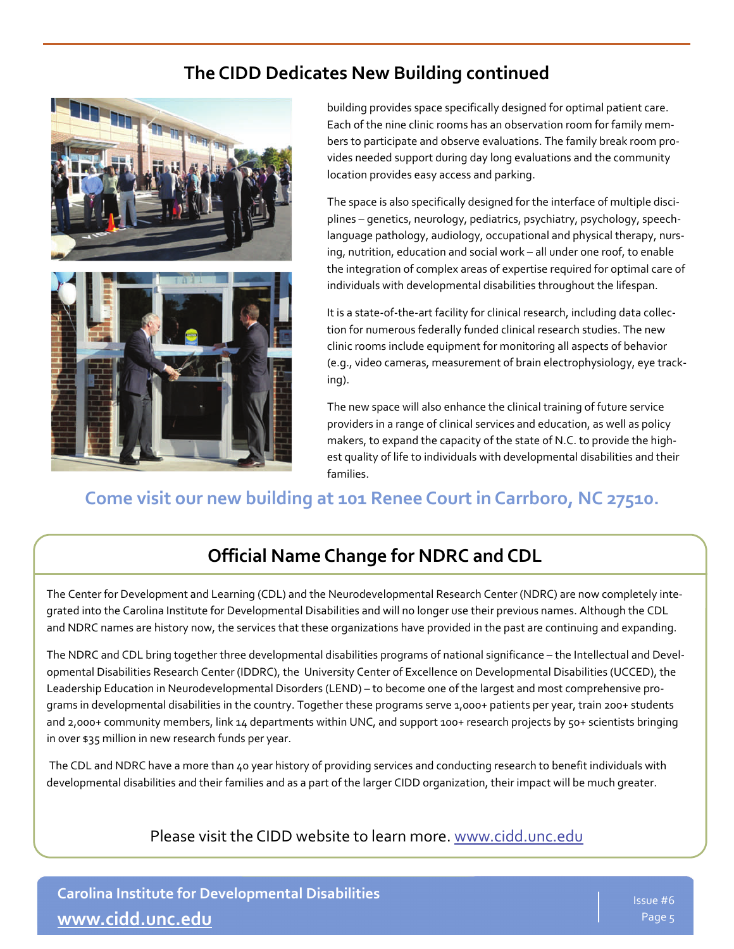#### **The CIDD Dedicates New Building continued**



building provides space specifically designed for optimal patient care. Each of the nine clinic rooms has an observation room for family mem‐ bers to participate and observe evaluations. The family break room pro‐ vides needed support during day long evaluations and the community location provides easy access and parking.

The space is also specifically designed for the interface of multiple disci‐ plines – genetics, neurology, pediatrics, psychiatry, psychology, speech‐ language pathology, audiology, occupational and physical therapy, nurs‐ ing, nutrition, education and social work – all under one roof, to enable the integration of complex areas of expertise required for optimal care of individuals with developmental disabilities throughout the lifespan.

It is a state-of-the-art facility for clinical research, including data collection for numerous federally funded clinical research studies. The new clinic rooms include equipment for monitoring all aspects of behavior (e.g., video cameras, measurement of brain electrophysiology, eye track‐ ing).

The new space will also enhance the clinical training of future service providers in a range of clinical services and education, as well as policy makers, to expand the capacity of the state of N.C. to provide the high‐ est quality of life to individuals with developmental disabilities and their families.

#### **Come visit our new building at 101 Renee Court in Carrboro, NC 27510.**

#### **Official Name Change for NDRC and CDL**

The Center for Development and Learning (CDL) and the Neurodevelopmental Research Center (NDRC) are now completely inte‐ grated into the Carolina Institute for Developmental Disabilities and will no longer use their previous names. Although the CDL and NDRC names are history now, the services that these organizations have provided in the past are continuing and expanding.

The NDRC and CDL bring together three developmental disabilities programs of national significance – the Intellectual and Devel‐ opmental Disabilities Research Center (IDDRC), the University Center of Excellence on Developmental Disabilities (UCCED), the Leadership Education in Neurodevelopmental Disorders (LEND) – to become one of the largest and most comprehensive pro‐ grams in developmental disabilities in the country. Together these programs serve 1,000+ patients per year, train 200+ students and 2,000+ community members, link 14 departments within UNC, and support 100+ research projects by 50+ scientists bringing in over \$35 million in new research funds per year.

The CDL and NDRC have a more than 40 year history of providing services and conducting research to benefit individuals with developmental disabilities and their families and as a part of the larger CIDD organization, their impact will be much greater.

Please visit the CIDD website to learn more. [www.cidd.unc.edu](http://www.cidd.unc.edu/)

**Carolina Institute for Developmental Disabilities [www.cidd.unc.edu](http://www.cidd.unc.edu/)**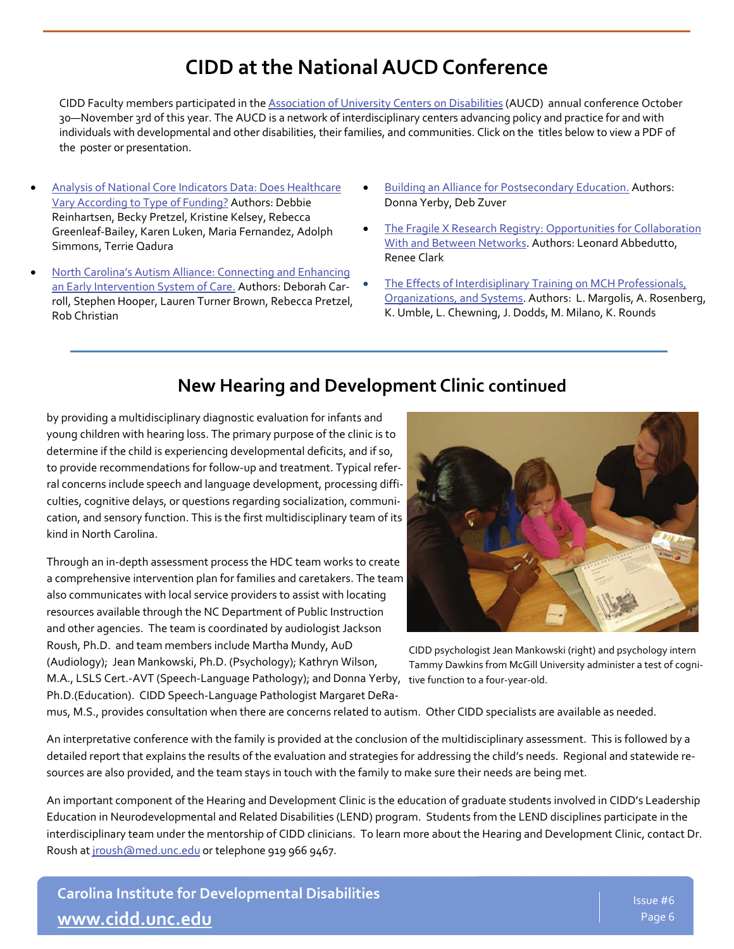## **CIDD at the NationalAUCDConference**

CIDD Faculty members participated in the [Association](http://www.aucd.org/conference/index.cfm/overview2010) of University Centers on Disabilities (AUCD) annual conference October 30—November 3rd of this year. The AUCD is a network of interdisciplinary centers advancing policy and practice for and with individuals with developmental and other disabilities, their families, and communities. Click on the titles below to view a PDF of the poster or presentation.

- Analysis of National Core Indicators Data: Does [Healthcare](http://www.cidd.unc.edu/docs/posters/debbie%20AUCD%20Poster-October%202010-%20Core%20Indicators%20with%20edits2.pdf) Vary [According](http://www.cidd.unc.edu/docs/posters/debbie%20AUCD%20Poster-October%202010-%20Core%20Indicators%20with%20edits2.pdf) to Type of Funding? Authors: Debbie Reinhartsen, Becky Pretzel, Kristine Kelsey, Rebecca Greenleaf‐Bailey, Karen Luken, Maria Fernandez, Adolph Simmons, Terrie Qadura
- North Carolina's Autism Alliance: [Connecting](http://www.cidd.unc.edu/docs/posters/becky%20original%20AUCD%20POSTER%20FINAL%202010%20margin%20problem.pdf) and Enhancing an Early [Intervention](http://www.cidd.unc.edu/docs/posters/becky%20original%20AUCD%20POSTER%20FINAL%202010%20margin%20problem.pdf) System of Care. Authors: Deborah Carroll, Stephen Hooper, Lauren Turner Brown, Rebecca Pretzel, Rob Christian
- Building an Alliance for [Postsecondary](http://www.cidd.unc.edu/docs/posters/PSE%20Poster%2010%2015%2010.pdf) Education. Authors: Donna Yerby, Deb Zuver
- The Fragile X Research Registry: [Opportunities](http://www.cidd.unc.edu/docs/posters/AUCD.2010.Abbedutto.Clark.ppt.pdf) for Collaboration With and Between [Networks](http://www.cidd.unc.edu/docs/posters/AUCD.2010.Abbedutto.Clark.ppt.pdf). Authors: Leonard Abbedutto, Renee Clark
- The Effects of [Interdisiplinary](http://www.cidd.unc.edu/docs/posters/Effects%20of%20ID%20Training%20Study%20PosterFINAL.pdf) Training on MCH Professionals, [Organizations,](http://www.cidd.unc.edu/docs/posters/Effects%20of%20ID%20Training%20Study%20PosterFINAL.pdf) and Systems. Authors: L. Margolis, A. Rosenberg, K. Umble, L. Chewning, J. Dodds, M. Milano, K. Rounds

#### **New Hearing and Development Clinic continued**

by providing a multidisciplinary diagnostic evaluation for infants and young children with hearing loss. The primary purpose of the clinic is to determine if the child is experiencing developmental deficits, and if so, to provide recommendations for follow‐up and treatment. Typical refer‐ ral concerns include speech and language development, processing difficulties, cognitive delays, or questions regarding socialization, communi‐ cation, and sensory function. This is the first multidisciplinary team of its kind in North Carolina.

Through an in‐depth assessment process the HDC team works to create a comprehensive intervention plan for families and caretakers. The team also communicates with local service providers to assist with locating resources available through the NC Department of Public Instruction and other agencies. The team is coordinated by audiologist Jackson Roush, Ph.D. and team members include Martha Mundy, AuD

(Audiology); Jean Mankowski, Ph.D. (Psychology); Kathryn Wilson, M.A., LSLS Cert.‐AVT (Speech‐Language Pathology); and Donna Yerby, tive function to a four‐year‐old.Ph.D.(Education). CIDD Speech‐Language Pathologist Margaret DeRa‐

CIDD psychologist Jean Mankowski (right) and psychology intern Tammy Dawkins from McGill University administer a test of cogni‐

mus, M.S., provides consultation when there are concerns related to autism. Other CIDD specialists are available as needed.

An interpretative conference with the family is provided at the conclusion of the multidisciplinary assessment. This is followed by a detailed report that explains the results of the evaluation and strategies for addressing the child's needs. Regional and statewide re‐ sources are also provided, and the team stays in touch with the family to make sure their needs are being met.

An important component of the Hearing and Development Clinic is the education of graduate students involved in CIDD's Leadership Education in Neurodevelopmental and Related Disabilities (LEND) program. Students from the LEND disciplines participate in the interdisciplinary team under the mentorship of CIDD clinicians. To learn more about the Hearing and Development Clinic, contact Dr. Roush at [jroush@med.unc.edu](mailto:jroush@med.unc.edu) or telephone 919 966 9467.

**Carolina Institute for Developmental Disabilities [www.cidd.unc.edu](http://www.cidd.unc.edu/)**